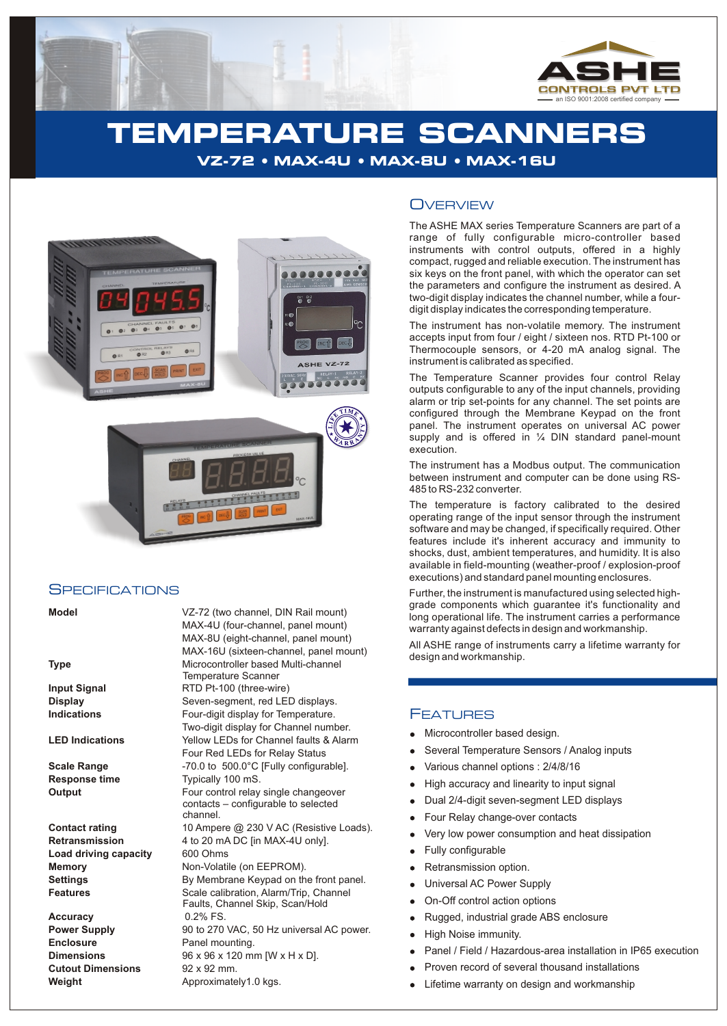

## **TEMPERATURE SCANNERS VZ-72 · MAX-4U · MAX-8U · MAX-16U**



#### **SPECIFICATIONS**

| ×<br>v<br>×<br>۰. |  |
|-------------------|--|
|-------------------|--|

Load driving capacity 600 Ohms

**Accuracy** 0.2% FS. **Enclosure Panel mounting. Cutout Dimensions** 92 x 92 mm. **Weight** Approximately1.0 kgs.

**Model** VZ-72 (two channel, DIN Rail mount) MAX-4U (four-channel, panel mount) MAX-8U (eight-channel, panel mount) MAX-16U (sixteen-channel, panel mount) **Type** Microcontroller based Multi-channel Temperature Scanner **Input Signal** RTD Pt-100 (three-wire) **Display** Seven-sequent, red LED displays. **Indications Four-digit display for Temperature.** Two-digit display for Channel number. **LED Indications** Yellow LEDs for Channel faults & Alarm Four Red LEDs for Relay Status **Scale Range**  $-70.0$  to 500.0°C [Fully configurable]. **Response time** Typically 100 mS. **Output** Four control relay single changeover contacts – configurable to selected channel. **Contact rating** 10 Ampere @ 230 V AC (Resistive Loads). **Retransmission** 4 to 20 mA DC [in MAX-4U only]. **Memory** Non-Volatile (on EEPROM). **Settings By Membrane Keypad on the front panel.** Features **Scale calibration, Alarm/Trip, Channel** Faults, Channel Skip, Scan/Hold **Power Supply** 90 to 270 VAC, 50 Hz universal AC power. **Dimensions** 96 x 96 x 120 mm [W x H x D].

#### **OVERVIEW**

The ASHE MAX series Temperature Scanners are part of a range of fully configurable micro-controller based instruments with control outputs, offered in a highly compact, rugged and reliable execution. The instrument has six keys on the front panel, with which the operator can set the parameters and configure the instrument as desired. A two-digit display indicates the channel number, while a fourdigit display indicates the corresponding temperature.

The instrument has non-volatile memory. The instrument accepts input from four / eight / sixteen nos. RTD Pt-100 or Thermocouple sensors, or 4-20 mA analog signal. The instrument is calibrated as specified.

The Temperature Scanner provides four control Relay outputs configurable to any of the input channels, providing alarm or trip set-points for any channel. The set points are configured through the Membrane Keypad on the front panel. The instrument operates on universal AC power supply and is offered in  $\frac{1}{4}$  DIN standard panel-mount execution.

The instrument has a Modbus output. The communication between instrument and computer can be done using RS-485 to RS-232 converter.

The temperature is factory calibrated to the desired operating range of the input sensor through the instrument software and may be changed, if specifically required. Other features include it's inherent accuracy and immunity to shocks, dust, ambient temperatures, and humidity. It is also available in field-mounting (weather-proof / explosion-proof executions) and standard panel mounting enclosures.

Further, the instrument is manufactured using selected highgrade components which guarantee it's functionality and long operational life. The instrument carries a performance warranty against defects in design and workmanship.

All ASHE range of instruments carry a lifetime warranty for design and workmanship.

### FEATURES

- Microcontroller based design.
- Several Temperature Sensors / Analog inputs
- Various channel options : 2/4/8/16
- High accuracy and linearity to input signal  $\bullet$
- Dual 2/4-digit seven-segment LED displays
- Four Relay change-over contacts
- Very low power consumption and heat dissipation
- Fully configurable
- Retransmission option.
- Universal AC Power Supply  $\bullet$
- On-Off control action options
- Rugged, industrial grade ABS enclosure
- High Noise immunity.  $\bullet$
- Panel / Field / Hazardous-area installation in IP65 execution
- Proven record of several thousand installations
- Lifetime warranty on design and workmanship